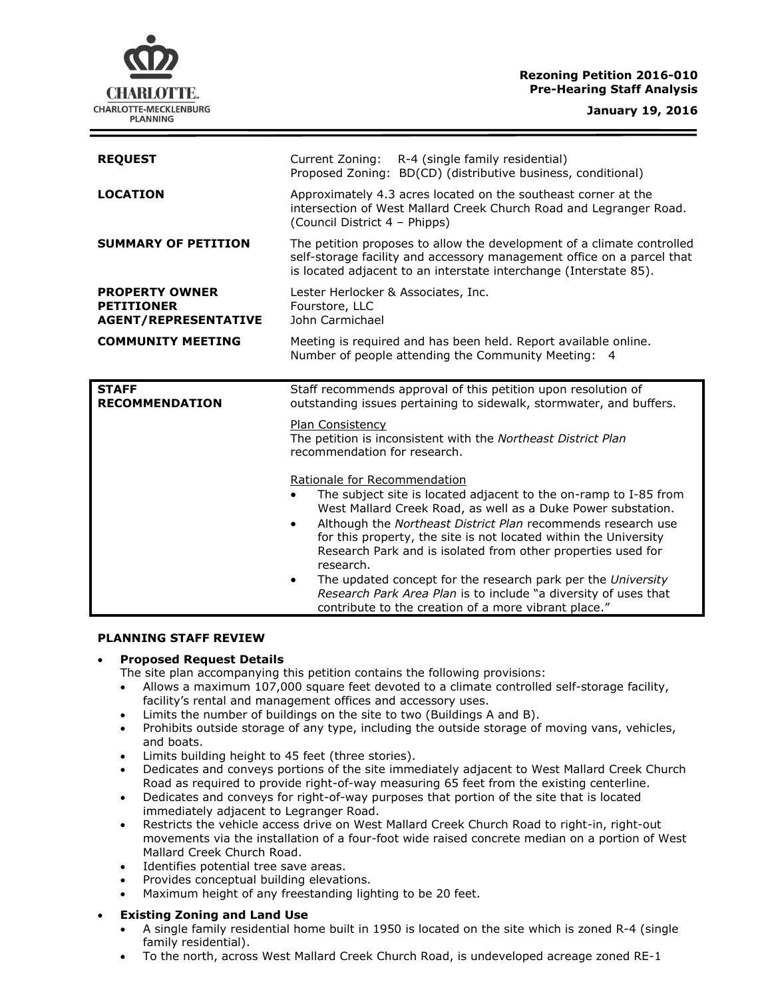## **Rezoning Petition 2016-010 Pre-Hearing Staff Analysis**

CHARLOTTE. CHARLOTTE-MECKLENBURG **PLANNING** 

| <b>REQUEST</b>                                                            | R-4 (single family residential)<br>Current Zoning:<br>Proposed Zoning: BD(CD) (distributive business, conditional)                                                                                                                                                                                                                                                                                                                                                                                                                     |
|---------------------------------------------------------------------------|----------------------------------------------------------------------------------------------------------------------------------------------------------------------------------------------------------------------------------------------------------------------------------------------------------------------------------------------------------------------------------------------------------------------------------------------------------------------------------------------------------------------------------------|
| <b>LOCATION</b>                                                           | Approximately 4.3 acres located on the southeast corner at the<br>intersection of West Mallard Creek Church Road and Legranger Road.<br>(Council District 4 - Phipps)                                                                                                                                                                                                                                                                                                                                                                  |
| <b>SUMMARY OF PETITION</b>                                                | The petition proposes to allow the development of a climate controlled<br>self-storage facility and accessory management office on a parcel that<br>is located adjacent to an interstate interchange (Interstate 85).                                                                                                                                                                                                                                                                                                                  |
| <b>PROPERTY OWNER</b><br><b>PETITIONER</b><br><b>AGENT/REPRESENTATIVE</b> | Lester Herlocker & Associates, Inc.<br>Fourstore, LLC<br>John Carmichael                                                                                                                                                                                                                                                                                                                                                                                                                                                               |
| <b>COMMUNITY MEETING</b>                                                  | Meeting is required and has been held. Report available online.<br>Number of people attending the Community Meeting: 4                                                                                                                                                                                                                                                                                                                                                                                                                 |
| <b>STAFF</b><br><b>RECOMMENDATION</b>                                     | Staff recommends approval of this petition upon resolution of<br>outstanding issues pertaining to sidewalk, stormwater, and buffers.                                                                                                                                                                                                                                                                                                                                                                                                   |
|                                                                           | Plan Consistency<br>The petition is inconsistent with the Northeast District Plan<br>recommendation for research.                                                                                                                                                                                                                                                                                                                                                                                                                      |
|                                                                           | Rationale for Recommendation<br>The subject site is located adjacent to the on-ramp to I-85 from<br>West Mallard Creek Road, as well as a Duke Power substation.<br>Although the Northeast District Plan recommends research use<br>$\bullet$<br>for this property, the site is not located within the University<br>Research Park and is isolated from other properties used for<br>research.<br>The updated concept for the research park per the University<br>٠<br>Research Park Area Plan is to include "a diversity of uses that |

#### **PLANNING STAFF REVIEW**

#### **Proposed Request Details**

- The site plan accompanying this petition contains the following provisions:
- Allows a maximum 107,000 square feet devoted to a climate controlled self-storage facility, facility's rental and management offices and accessory uses.
- Limits the number of buildings on the site to two (Buildings A and B).
- Prohibits outside storage of any type, including the outside storage of moving vans, vehicles, and boats.
- Limits building height to 45 feet (three stories).
- Dedicates and conveys portions of the site immediately adjacent to West Mallard Creek Church Road as required to provide right-of-way measuring 65 feet from the existing centerline.
- Dedicates and conveys for right-of-way purposes that portion of the site that is located immediately adjacent to Legranger Road.
- Restricts the vehicle access drive on West Mallard Creek Church Road to right-in, right-out movements via the installation of a four-foot wide raised concrete median on a portion of West Mallard Creek Church Road.
- Identifies potential tree save areas.
- Provides conceptual building elevations.
- Maximum height of any freestanding lighting to be 20 feet.

# **Existing Zoning and Land Use**

- A single family residential home built in 1950 is located on the site which is zoned R-4 (single family residential).
- To the north, across West Mallard Creek Church Road, is undeveloped acreage zoned RE-1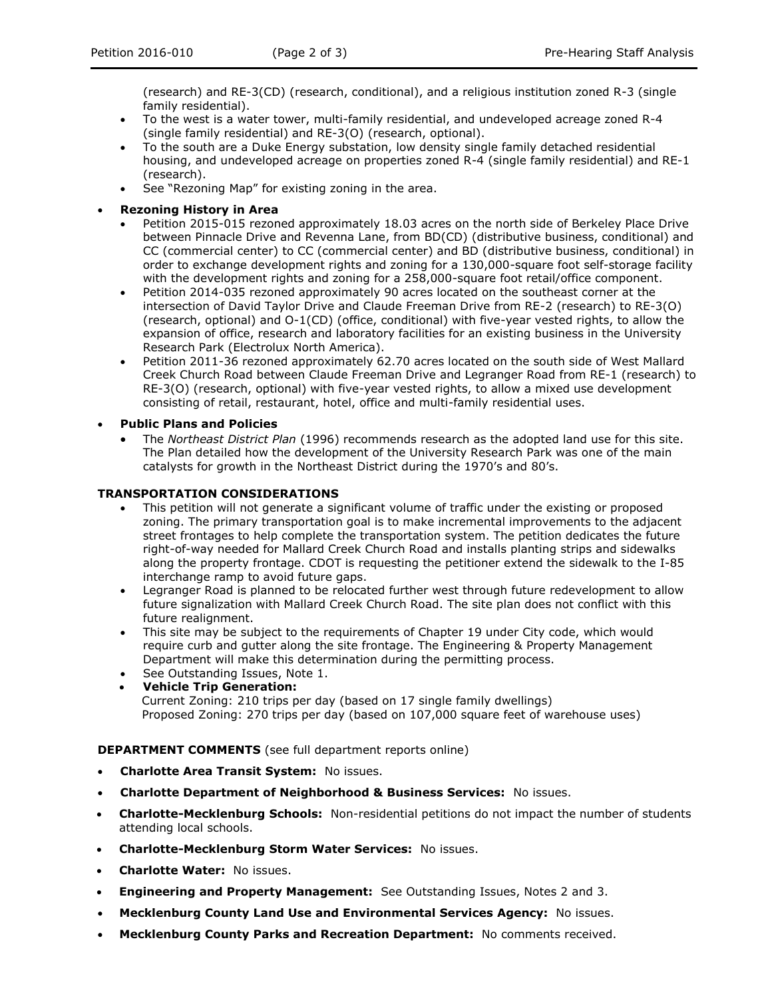(research) and RE-3(CD) (research, conditional), and a religious institution zoned R-3 (single family residential).

- To the west is a water tower, multi-family residential, and undeveloped acreage zoned R-4 (single family residential) and RE-3(O) (research, optional).
- To the south are a Duke Energy substation, low density single family detached residential housing, and undeveloped acreage on properties zoned R-4 (single family residential) and RE-1 (research).
- See "Rezoning Map" for existing zoning in the area.

## **Rezoning History in Area**

- Petition 2015-015 rezoned approximately 18.03 acres on the north side of Berkeley Place Drive between Pinnacle Drive and Revenna Lane, from BD(CD) (distributive business, conditional) and CC (commercial center) to CC (commercial center) and BD (distributive business, conditional) in order to exchange development rights and zoning for a 130,000-square foot self-storage facility with the development rights and zoning for a 258,000-square foot retail/office component.
- Petition 2014-035 rezoned approximately 90 acres located on the southeast corner at the intersection of David Taylor Drive and Claude Freeman Drive from RE-2 (research) to RE-3(O) (research, optional) and O-1(CD) (office, conditional) with five-year vested rights, to allow the expansion of office, research and laboratory facilities for an existing business in the University Research Park (Electrolux North America).
- Petition 2011-36 rezoned approximately 62.70 acres located on the south side of West Mallard Creek Church Road between Claude Freeman Drive and Legranger Road from RE-1 (research) to RE-3(O) (research, optional) with five-year vested rights, to allow a mixed use development consisting of retail, restaurant, hotel, office and multi-family residential uses.
- **Public Plans and Policies**
	- The *Northeast District Plan* (1996) recommends research as the adopted land use for this site. The Plan detailed how the development of the University Research Park was one of the main catalysts for growth in the Northeast District during the 1970's and 80's.

# **TRANSPORTATION CONSIDERATIONS**

- This petition will not generate a significant volume of traffic under the existing or proposed zoning. The primary transportation goal is to make incremental improvements to the adjacent street frontages to help complete the transportation system. The petition dedicates the future right-of-way needed for Mallard Creek Church Road and installs planting strips and sidewalks along the property frontage. CDOT is requesting the petitioner extend the sidewalk to the I-85 interchange ramp to avoid future gaps.
- Legranger Road is planned to be relocated further west through future redevelopment to allow future signalization with Mallard Creek Church Road. The site plan does not conflict with this future realignment.
- This site may be subject to the requirements of Chapter 19 under City code, which would require curb and gutter along the site frontage. The Engineering & Property Management Department will make this determination during the permitting process.
- See Outstanding Issues, Note 1.
	- **Vehicle Trip Generation:** Current Zoning: 210 trips per day (based on 17 single family dwellings) Proposed Zoning: 270 trips per day (based on 107,000 square feet of warehouse uses)

**DEPARTMENT COMMENTS** (see full department reports online)

- **Charlotte Area Transit System:** No issues.
- **Charlotte Department of Neighborhood & Business Services:** No issues.
- **Charlotte-Mecklenburg Schools:** Non-residential petitions do not impact the number of students attending local schools.
- **Charlotte-Mecklenburg Storm Water Services:** No issues.
- **Charlotte Water:** No issues.
- **Engineering and Property Management:** See Outstanding Issues, Notes 2 and 3.
- **Mecklenburg County Land Use and Environmental Services Agency:** No issues.
- **Mecklenburg County Parks and Recreation Department:** No comments received.